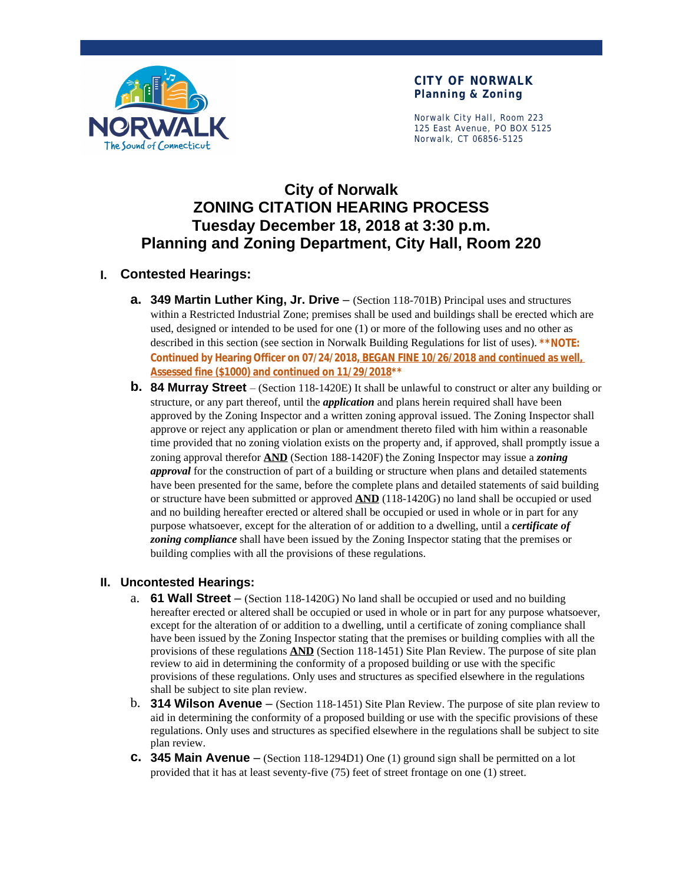

#### **CITY OF NORWALK Planning & Zoning**

Norwalk City Hall, Room 223 125 East Avenue, PO BOX 5125 Norwalk, CT 06856-5125

# **City of Norwalk ZONING CITATION HEARING PROCESS Tuesday December 18, 2018 at 3:30 p.m. Planning and Zoning Department, City Hall, Room 220**

## **I. Contested Hearings:**

- **a. 349 Martin Luther King, Jr. Drive** (Section 118-701B) Principal uses and structures within a Restricted Industrial Zone; premises shall be used and buildings shall be erected which are used, designed or intended to be used for one (1) or more of the following uses and no other as described in this section (see section in Norwalk Building Regulations for list of uses). **\*\*NOTE: Continued by Hearing Officer on 07/24/2018, BEGAN FINE 10/26/2018 and continued as well, Assessed fine (\$1000) and continued on 11/29/2018\*\***
- **b. 84 Murray Street** (Section 118-1420E) It shall be unlawful to construct or alter any building or structure, or any part thereof, until the *application* and plans herein required shall have been approved by the Zoning Inspector and a written zoning approval issued. The Zoning Inspector shall approve or reject any application or plan or amendment thereto filed with him within a reasonable time provided that no zoning violation exists on the property and, if approved, shall promptly issue a zoning approval therefor **AND** (Section 188-1420F) the Zoning Inspector may issue a *zoning approval* for the construction of part of a building or structure when plans and detailed statements have been presented for the same, before the complete plans and detailed statements of said building or structure have been submitted or approved **AND** (118-1420G) no land shall be occupied or used and no building hereafter erected or altered shall be occupied or used in whole or in part for any purpose whatsoever, except for the alteration of or addition to a dwelling, until a *certificate of zoning compliance* shall have been issued by the Zoning Inspector stating that the premises or building complies with all the provisions of these regulations.

## **II. Uncontested Hearings:**

- a. **61 Wall Street**  (Section 118-1420G) No land shall be occupied or used and no building hereafter erected or altered shall be occupied or used in whole or in part for any purpose whatsoever, except for the alteration of or addition to a dwelling, until a certificate of zoning compliance shall have been issued by the Zoning Inspector stating that the premises or building complies with all the provisions of these regulations **AND** (Section 118-1451) Site Plan Review. The purpose of site plan review to aid in determining the conformity of a proposed building or use with the specific provisions of these regulations. Only uses and structures as specified elsewhere in the regulations shall be subject to site plan review.
- b. **314 Wilson Avenue**  (Section 118-1451) Site Plan Review. The purpose of site plan review to aid in determining the conformity of a proposed building or use with the specific provisions of these regulations. Only uses and structures as specified elsewhere in the regulations shall be subject to site plan review.
- **c. 345 Main Avenue**  (Section 118-1294D1) One (1) ground sign shall be permitted on a lot provided that it has at least seventy-five (75) feet of street frontage on one (1) street.